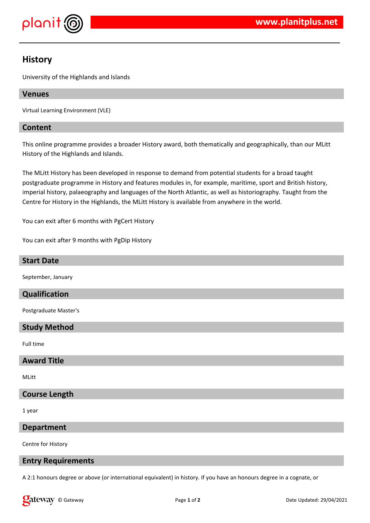

# **History**

University of the Highlands and Islands

# **Venues**

Virtual Learning Environment (VLE)

# **Content**

This online programme provides a broader History award, both thematically and geographically, than our MLitt History of the Highlands and Islands.

The MLitt History has been developed in response to demand from potential students for a broad taught postgraduate programme in History and features modules in, for example, maritime, sport and British history, imperial history, palaeography and languages of the North Atlantic, as well as historiography. Taught from the Centre for History in the Highlands, the MLitt History is available from anywhere in the world.

You can exit after 6 months with PgCert History

You can exit after 9 months with PgDip History

### **Start Date**

September, January

## **Qualification**

Postgraduate Master's

#### **Study Method**

Full time

#### **Award Title**

MLitt

## **Course Length**

1 year

#### **Department**

Centre for History

## **Entry Requirements**

A 2:1 honours degree or above (or international equivalent) in history. If you have an honours degree in a cognate, or